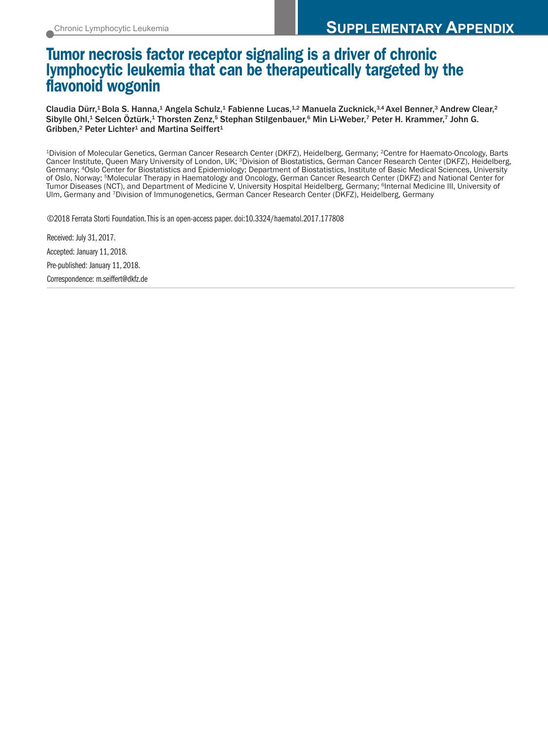# **Tumor necrosis factor receptor signaling is a driver of chronic lymphocytic leukemia that can be therapeutically targeted by the flavonoid wogonin**

Claudia Dürr, $^1$ Bola S. Hanna, $^1$  Angela Schulz, $^1$  Fabienne Lucas, $^{1,2}$  Manuela Zucknick, $^{3,4}$ Axel Benner, $^3$  Andrew Clear, $^2$ Sibylle Ohl,<sup>1</sup> Selcen Oztürk,<sup>1</sup> Thorsten Zenz,<sup>5</sup> Stephan Stilgenbauer,<sup>6</sup> Min Li-Weber,<sup>7</sup> Peter H. Krammer,<sup>7</sup> John G. Gribben,<sup>2</sup> Peter Lichter<sup>1</sup> and Martina Seiffert<sup>1</sup>

1Division of Molecular Genetics, German Cancer Research Center (DKFZ), Heidelberg, Germany; 2Centre for Haemato-Oncology, Barts Cancer Institute, Queen Mary University of London, UK; 3Division of Biostatistics, German Cancer Research Center (DKFZ), Heidelberg, Germany; 4Oslo Center for Biostatistics and Epidemiology; Department of Biostatistics, Institute of Basic Medical Sciences, University of Oslo, Norway; 5Molecular Therapy in Haematology and Oncology, German Cancer Research Center (DKFZ) and National Center for Tumor Diseases (NCT), and Department of Medicine V, University Hospital Heidelberg, Germany; 6Internal Medicine III, University of Ulm, Germany and 7Division of Immunogenetics, German Cancer Research Center (DKFZ), Heidelberg, Germany

©2018 Ferrata Storti Foundation.This is an open-access paper. doi:10.3324/haematol.2017.177808

Received: July 31, 2017. Accepted: January 11, 2018.

Pre-published: January 11, 2018.

Correspondence: m.seiffert@dkfz.de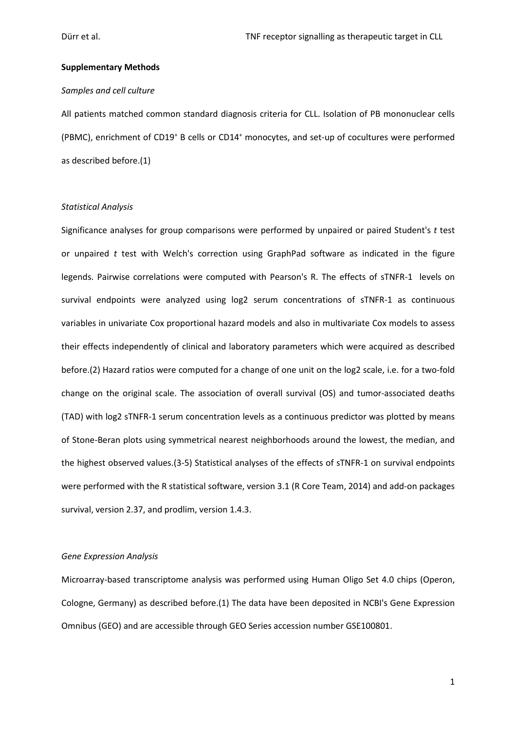### **Supplementary Methods**

## *Samples and cell culture*

All patients matched common standard diagnosis criteria for CLL. Isolation of PB mononuclear cells (PBMC), enrichment of CD19<sup>+</sup> B cells or CD14<sup>+</sup> monocytes, and set-up of cocultures were performed as described before.(1)

## *Statistical Analysis*

Significance analyses for group comparisons were performed by unpaired or paired Student's *t* test or unpaired *t* test with Welch's correction using GraphPad software as indicated in the figure legends. Pairwise correlations were computed with Pearson's R. The effects of sTNFR-1 levels on survival endpoints were analyzed using log2 serum concentrations of sTNFR-1 as continuous variables in univariate Cox proportional hazard models and also in multivariate Cox models to assess their effects independently of clinical and laboratory parameters which were acquired as described before.(2) Hazard ratios were computed for a change of one unit on the log2 scale, i.e. for a two-fold change on the original scale. The association of overall survival (OS) and tumor-associated deaths (TAD) with log2 sTNFR-1 serum concentration levels as a continuous predictor was plotted by means of Stone-Beran plots using symmetrical nearest neighborhoods around the lowest, the median, and the highest observed values.(3-5) Statistical analyses of the effects of sTNFR-1 on survival endpoints were performed with the R statistical software, version 3.1 (R Core Team, 2014) and add-on packages survival, version 2.37, and prodlim, version 1.4.3.

#### *Gene Expression Analysis*

Microarray-based transcriptome analysis was performed using Human Oligo Set 4.0 chips (Operon, Cologne, Germany) as described before.(1) The data have been deposited in NCBI's Gene Expression Omnibus (GEO) and are accessible through GEO Series accession number GSE100801.

1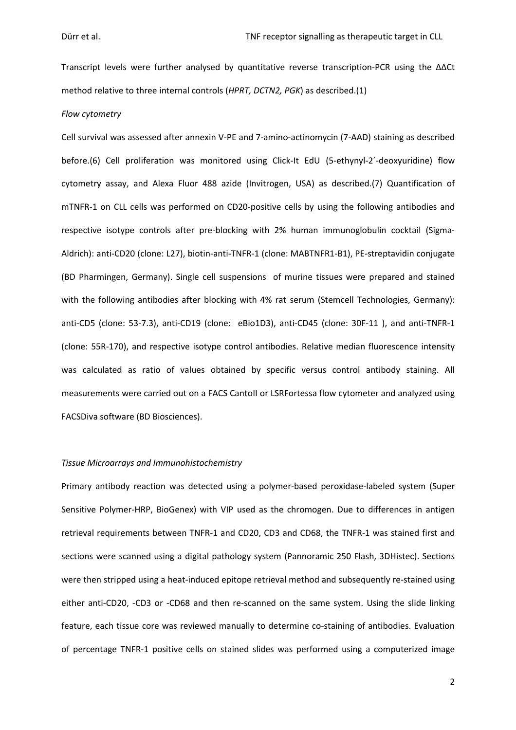Transcript levels were further analysed by quantitative reverse transcription-PCR using the ∆∆Ct method relative to three internal controls (*HPRT, DCTN2, PGK*) as described.(1)

#### *Flow cytometry*

Cell survival was assessed after annexin V-PE and 7-amino-actinomycin (7-AAD) staining as described before.(6) Cell proliferation was monitored using Click-It EdU (5-ethynyl-2´-deoxyuridine) flow cytometry assay, and Alexa Fluor 488 azide (Invitrogen, USA) as described.(7) Quantification of mTNFR-1 on CLL cells was performed on CD20-positive cells by using the following antibodies and respective isotype controls after pre-blocking with 2% human immunoglobulin cocktail (Sigma-Aldrich): anti-CD20 (clone: L27), biotin-anti-TNFR-1 (clone: MABTNFR1-B1), PE-streptavidin conjugate (BD Pharmingen, Germany). Single cell suspensions of murine tissues were prepared and stained with the following antibodies after blocking with 4% rat serum (Stemcell Technologies, Germany): anti-CD5 (clone: 53-7.3), anti-CD19 (clone: eBio1D3), anti-CD45 (clone: 30F-11 ), and anti-TNFR-1 (clone: 55R-170), and respective isotype control antibodies. Relative median fluorescence intensity was calculated as ratio of values obtained by specific versus control antibody staining. All measurements were carried out on a FACS CantoII or LSRFortessa flow cytometer and analyzed using FACSDiva software (BD Biosciences).

#### *Tissue Microarrays and Immunohistochemistry*

Primary antibody reaction was detected using a polymer-based peroxidase-labeled system (Super Sensitive Polymer-HRP, BioGenex) with VIP used as the chromogen. Due to differences in antigen retrieval requirements between TNFR-1 and CD20, CD3 and CD68, the TNFR-1 was stained first and sections were scanned using a digital pathology system (Pannoramic 250 Flash, 3DHistec). Sections were then stripped using a heat-induced epitope retrieval method and subsequently re-stained using either anti-CD20, -CD3 or -CD68 and then re-scanned on the same system. Using the slide linking feature, each tissue core was reviewed manually to determine co-staining of antibodies. Evaluation of percentage TNFR-1 positive cells on stained slides was performed using a computerized image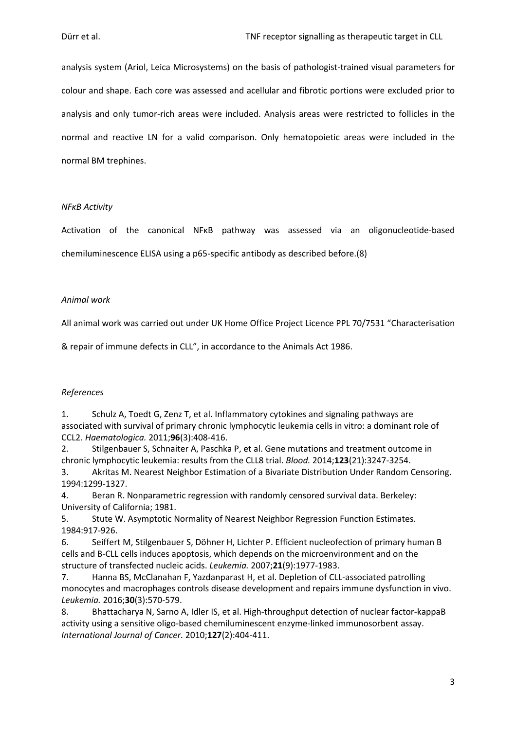analysis system (Ariol, Leica Microsystems) on the basis of pathologist-trained visual parameters for colour and shape. Each core was assessed and acellular and fibrotic portions were excluded prior to analysis and only tumor-rich areas were included. Analysis areas were restricted to follicles in the normal and reactive LN for a valid comparison. Only hematopoietic areas were included in the normal BM trephines.

## *NFκB Activity*

Activation of the canonical NFκB pathway was assessed via an oligonucleotide-based chemiluminescence ELISA using a p65-specific antibody as described before.(8)

# *Animal work*

All animal work was carried out under UK Home Office Project Licence PPL 70/7531 "Characterisation

& repair of immune defects in CLL", in accordance to the Animals Act 1986.

# *References*

1. Schulz A, Toedt G, Zenz T, et al. Inflammatory cytokines and signaling pathways are associated with survival of primary chronic lymphocytic leukemia cells in vitro: a dominant role of CCL2. *Haematologica.* 2011;**96**(3):408-416.

2. Stilgenbauer S, Schnaiter A, Paschka P, et al. Gene mutations and treatment outcome in chronic lymphocytic leukemia: results from the CLL8 trial. *Blood.* 2014;**123**(21):3247-3254.

3. Akritas M. Nearest Neighbor Estimation of a Bivariate Distribution Under Random Censoring. 1994:1299-1327.

4. Beran R. Nonparametric regression with randomly censored survival data. Berkeley: University of California; 1981.

5. Stute W. Asymptotic Normality of Nearest Neighbor Regression Function Estimates. 1984:917-926.

6. Seiffert M, Stilgenbauer S, Döhner H, Lichter P. Efficient nucleofection of primary human B cells and B-CLL cells induces apoptosis, which depends on the microenvironment and on the structure of transfected nucleic acids. *Leukemia.* 2007;**21**(9):1977-1983.

7. Hanna BS, McClanahan F, Yazdanparast H, et al. Depletion of CLL-associated patrolling monocytes and macrophages controls disease development and repairs immune dysfunction in vivo. *Leukemia.* 2016;**30**(3):570-579.

8. Bhattacharya N, Sarno A, Idler IS, et al. High-throughput detection of nuclear factor-kappaB activity using a sensitive oligo-based chemiluminescent enzyme-linked immunosorbent assay. *International Journal of Cancer.* 2010;**127**(2):404-411.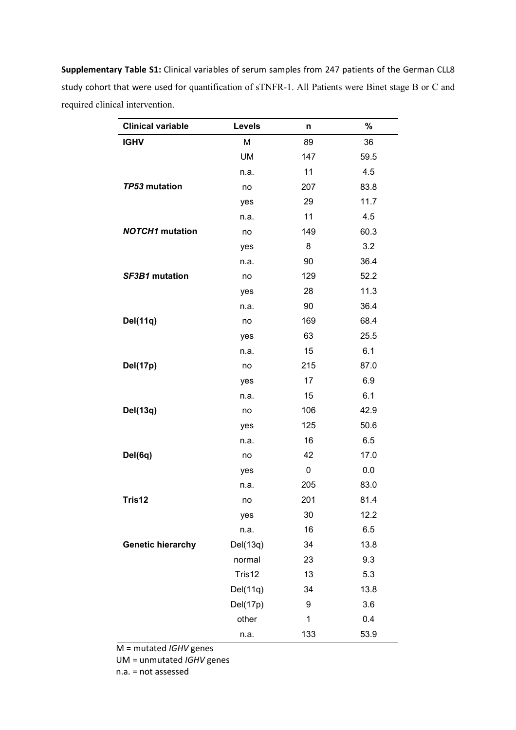| <b>Clinical variable</b> | <b>Levels</b> | n   | %    |
|--------------------------|---------------|-----|------|
| <b>IGHV</b>              | M             | 89  | 36   |
|                          | UM            | 147 | 59.5 |
|                          | n.a.          | 11  | 4.5  |
| TP53 mutation            | no            | 207 | 83.8 |
|                          | yes           | 29  | 11.7 |
|                          | n.a.          | 11  | 4.5  |
| <b>NOTCH1</b> mutation   | no            | 149 | 60.3 |
|                          | yes           | 8   | 3.2  |
|                          | n.a.          | 90  | 36.4 |
| SF3B1 mutation           | no            | 129 | 52.2 |
|                          | yes           | 28  | 11.3 |
|                          | n.a.          | 90  | 36.4 |
| Del(11q)                 | no            | 169 | 68.4 |
|                          | yes           | 63  | 25.5 |
|                          | n.a.          | 15  | 6.1  |
| Del(17p)                 | no            | 215 | 87.0 |
|                          | yes           | 17  | 6.9  |
|                          | n.a.          | 15  | 6.1  |
| Del(13q)                 | no            | 106 | 42.9 |
|                          | yes           | 125 | 50.6 |
|                          | n.a.          | 16  | 6.5  |
| Del(6q)                  | no            | 42  | 17.0 |
|                          | yes           | 0   | 0.0  |
|                          | n.a.          | 205 | 83.0 |
| Tris12                   | no            | 201 | 81.4 |
|                          | yes           | 30  | 12.2 |
|                          | n.a.          | 16  | 6.5  |
| <b>Genetic hierarchy</b> | Del(13q)      | 34  | 13.8 |
|                          | normal        | 23  | 9.3  |
|                          | Tris12        | 13  | 5.3  |
|                          | Del(11q)      | 34  | 13.8 |
|                          | Del(17p)      | 9   | 3.6  |
|                          | other         | 1   | 0.4  |
|                          | n.a.          | 133 | 53.9 |

**Supplementary Table S1:** Clinical variables of serum samples from 247 patients of the German CLL8 study cohort that were used for quantification of sTNFR-1. All Patients were Binet stage B or C and required clinical intervention.

M = mutated *IGHV* genes

UM = unmutated *IGHV* genes

n.a. = not assessed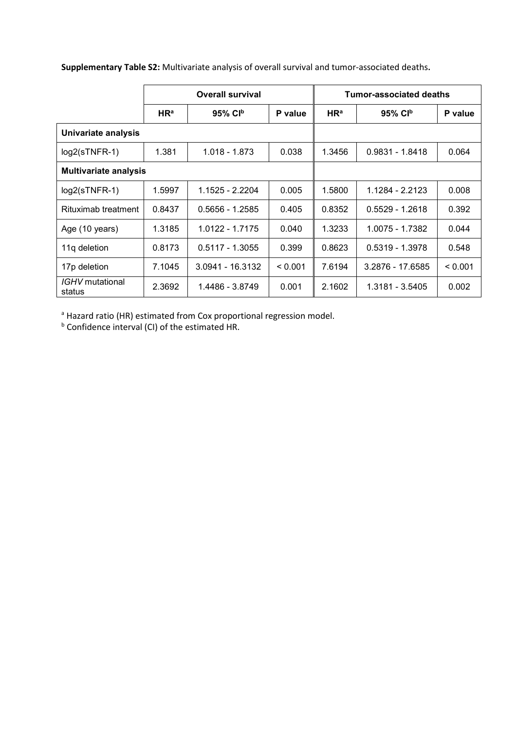|                              | <b>Overall survival</b> |                        |         | Tumor-associated deaths |                        |         |
|------------------------------|-------------------------|------------------------|---------|-------------------------|------------------------|---------|
|                              | HR <sup>a</sup>         | $95\%$ CI <sup>b</sup> | P value | HR <sup>a</sup>         | $95\%$ CI <sup>b</sup> | P value |
| Univariate analysis          |                         |                        |         |                         |                        |         |
| $log2(sTNFR-1)$              | 1.381                   | 1.018 - 1.873          | 0.038   | 1.3456                  | $0.9831 - 1.8418$      | 0.064   |
| <b>Multivariate analysis</b> |                         |                        |         |                         |                        |         |
| $log2(sTNFR-1)$              | 1.5997                  | 1.1525 - 2.2204        | 0.005   | 1.5800                  | 1.1284 - 2.2123        | 0.008   |
| Rituximab treatment          | 0.8437                  | $0.5656 - 1.2585$      | 0.405   | 0.8352                  | $0.5529 - 1.2618$      | 0.392   |
| Age (10 years)               | 1.3185                  | 1.0122 - 1.7175        | 0.040   | 1.3233                  | 1.0075 - 1.7382        | 0.044   |
| 11g deletion                 | 0.8173                  | $0.5117 - 1.3055$      | 0.399   | 0.8623                  | $0.5319 - 1.3978$      | 0.548   |
| 17p deletion                 | 7.1045                  | 3.0941 - 16.3132       | < 0.001 | 7.6194                  | 3.2876 - 17.6585       | < 0.001 |
| IGHV mutational<br>status    | 2.3692                  | 1.4486 - 3.8749        | 0.001   | 2.1602                  | 1.3181 - 3.5405        | 0.002   |

**Supplementary Table S2:** Multivariate analysis of overall survival and tumor-associated deaths**.** 

<sup>a</sup> Hazard ratio (HR) estimated from Cox proportional regression model.

**b** Confidence interval (CI) of the estimated HR.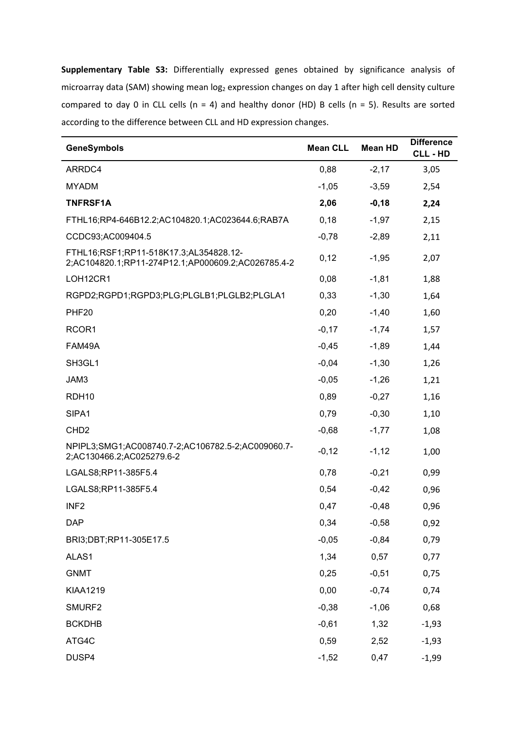**Supplementary Table S3:** Differentially expressed genes obtained by significance analysis of microarray data (SAM) showing mean log<sub>2</sub> expression changes on day 1 after high cell density culture compared to day 0 in CLL cells (n = 4) and healthy donor (HD) B cells (n = 5). Results are sorted according to the difference between CLL and HD expression changes.

| <b>GeneSymbols</b>                                                                           | <b>Mean CLL</b> | <b>Mean HD</b> | <b>Difference</b><br><b>CLL-HD</b> |
|----------------------------------------------------------------------------------------------|-----------------|----------------|------------------------------------|
| ARRDC4                                                                                       | 0,88            | $-2,17$        | 3,05                               |
| <b>MYADM</b>                                                                                 | $-1,05$         | $-3,59$        | 2,54                               |
| <b>TNFRSF1A</b>                                                                              | 2,06            | $-0,18$        | 2,24                               |
| FTHL16;RP4-646B12.2;AC104820.1;AC023644.6;RAB7A                                              | 0,18            | $-1,97$        | 2,15                               |
| CCDC93;AC009404.5                                                                            | $-0,78$         | $-2,89$        | 2,11                               |
| FTHL16;RSF1;RP11-518K17.3;AL354828.12-<br>2;AC104820.1;RP11-274P12.1;AP000609.2;AC026785.4-2 | 0,12            | $-1,95$        | 2,07                               |
| LOH12CR1                                                                                     | 0,08            | $-1,81$        | 1,88                               |
| RGPD2;RGPD1;RGPD3;PLG;PLGLB1;PLGLB2;PLGLA1                                                   | 0,33            | $-1,30$        | 1,64                               |
| PHF <sub>20</sub>                                                                            | 0,20            | $-1,40$        | 1,60                               |
| RCOR1                                                                                        | $-0,17$         | $-1,74$        | 1,57                               |
| FAM49A                                                                                       | $-0,45$         | $-1,89$        | 1,44                               |
| SH3GL1                                                                                       | $-0,04$         | $-1,30$        | 1,26                               |
| JAM3                                                                                         | $-0,05$         | $-1,26$        | 1,21                               |
| RDH <sub>10</sub>                                                                            | 0,89            | $-0,27$        | 1,16                               |
| SIPA1                                                                                        | 0,79            | $-0,30$        | 1,10                               |
| CHD <sub>2</sub>                                                                             | $-0,68$         | $-1,77$        | 1,08                               |
| NPIPL3;SMG1;AC008740.7-2;AC106782.5-2;AC009060.7-<br>2;AC130466.2;AC025279.6-2               | $-0,12$         | $-1,12$        | 1,00                               |
| LGALS8;RP11-385F5.4                                                                          | 0,78            | $-0,21$        | 0,99                               |
| LGALS8;RP11-385F5.4                                                                          | 0,54            | $-0,42$        | 0,96                               |
| INF <sub>2</sub>                                                                             | 0,47            | $-0,48$        | 0,96                               |
| <b>DAP</b>                                                                                   | 0,34            | $-0,58$        | 0,92                               |
| BRI3;DBT;RP11-305E17.5                                                                       | $-0,05$         | $-0,84$        | 0,79                               |
| ALAS1                                                                                        | 1,34            | 0,57           | 0,77                               |
| <b>GNMT</b>                                                                                  | 0,25            | $-0,51$        | 0,75                               |
| <b>KIAA1219</b>                                                                              | 0,00            | $-0,74$        | 0,74                               |
| SMURF2                                                                                       | $-0,38$         | $-1,06$        | 0,68                               |
| <b>BCKDHB</b>                                                                                | $-0,61$         | 1,32           | $-1,93$                            |
| ATG4C                                                                                        | 0,59            | 2,52           | $-1,93$                            |
| DUSP4                                                                                        | $-1,52$         | 0,47           | $-1,99$                            |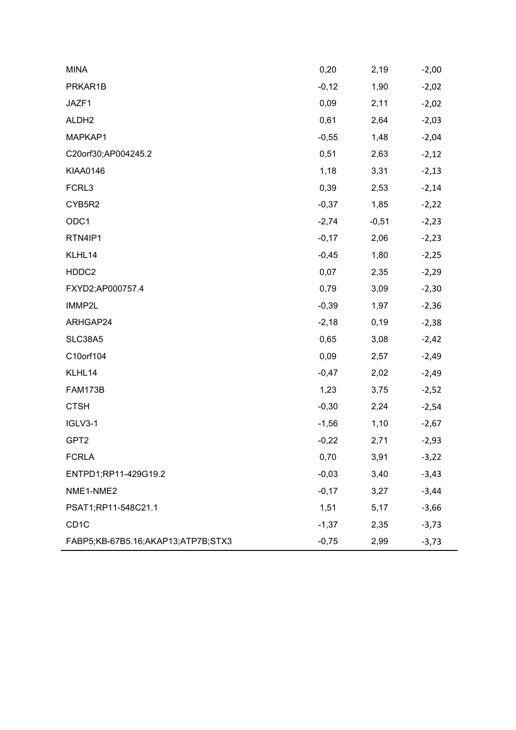| <b>MINA</b>                        | 0,20    | 2,19    | $-2,00$ |
|------------------------------------|---------|---------|---------|
| PRKAR1B                            | $-0,12$ | 1,90    | $-2,02$ |
| JAZF1                              | 0,09    | 2,11    | $-2,02$ |
| ALDH <sub>2</sub>                  | 0,61    | 2,64    | $-2,03$ |
| MAPKAP1                            | $-0,55$ | 1,48    | $-2,04$ |
| C20orf30;AP004245.2                | 0,51    | 2,63    | $-2,12$ |
| <b>KIAA0146</b>                    | 1,18    | 3,31    | $-2,13$ |
| FCRL3                              | 0,39    | 2,53    | $-2,14$ |
| CYB5R2                             | $-0,37$ | 1,85    | $-2,22$ |
| ODC1                               | $-2,74$ | $-0,51$ | $-2,23$ |
| RTN4IP1                            | $-0,17$ | 2,06    | $-2,23$ |
| KLHL14                             | $-0,45$ | 1,80    | $-2,25$ |
| HDDC2                              | 0,07    | 2,35    | $-2,29$ |
| FXYD2;AP000757.4                   | 0,79    | 3,09    | $-2,30$ |
| IMMP2L                             | $-0,39$ | 1,97    | $-2,36$ |
| ARHGAP24                           | $-2,18$ | 0, 19   | $-2,38$ |
| SLC38A5                            | 0,65    | 3,08    | $-2,42$ |
| C10orf104                          | 0,09    | 2,57    | $-2,49$ |
| KLHL14                             | $-0,47$ | 2,02    | $-2,49$ |
| <b>FAM173B</b>                     | 1,23    | 3,75    | $-2,52$ |
| <b>CTSH</b>                        | $-0,30$ | 2,24    | $-2,54$ |
| IGLV3-1                            | $-1,56$ | 1,10    | $-2,67$ |
| GPT <sub>2</sub>                   | $-0,22$ | 2,71    | $-2,93$ |
| <b>FCRLA</b>                       | 0,70    | 3,91    | $-3,22$ |
| ENTPD1;RP11-429G19.2               | $-0,03$ | 3,40    | $-3,43$ |
| NME1-NME2                          | $-0,17$ | 3,27    | $-3,44$ |
| PSAT1;RP11-548C21.1                | 1,51    | 5,17    | $-3,66$ |
| CD <sub>1</sub> C                  | $-1,37$ | 2,35    | $-3,73$ |
| FABP5;KB-67B5.16;AKAP13;ATP7B;STX3 | $-0,75$ | 2,99    | $-3,73$ |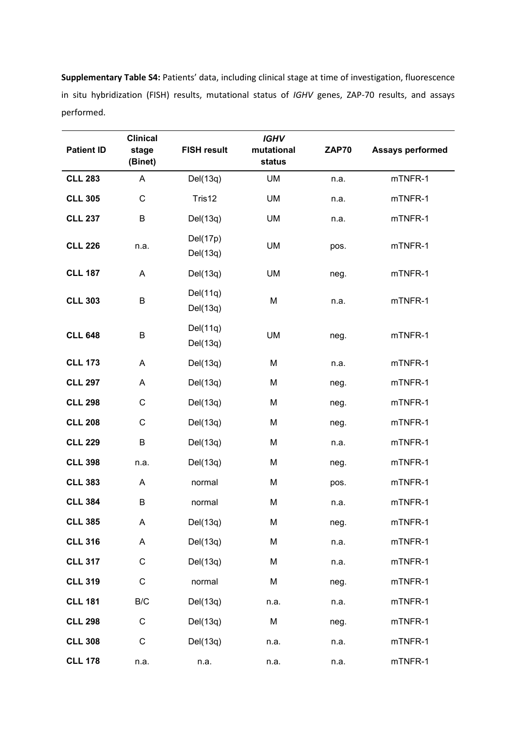**Patient ID Clinical stage (Binet) FISH result**  *IGHV* **mutational status ZAP70 Assays performed CLL 283** A Del(13q) UM n.a. mTNFR-1 **CLL 305** C Tris12 UM n.a. mTNFR-1 **CLL 237** B Del(13q) UM n.a. mTNFR-1 **CLL 226** n.a. Del(17p) Del(13q) UM pos. mTNFR-1 **CLL 187** A Del(13q) UM neg. mTNFR-1 **CLL 303** B Del(11q) Del(13q) M n.a. mTNFR-1 **CLL 648** B Del(11q) Del(13q) UM neg. mTNFR-1 **CLL 173** A Del(13q) M n.a. mTNFR-1 **CLL 297** A Del(13q) M neg. mTNFR-1 **CLL 298** C Del(13q) M neg. mTNFR-1 **CLL 208** C Del(13q) M neg. mTNFR-1 **CLL 229** B Del(13q) M n.a. mTNFR-1 **CLL 398** n.a. Del(13q) M neg. mTNFR-1 **CLL 383** A normal M pos. mTNFR-1 **CLL 384** B normal M n.a. mTNFR-1 **CLL 385** A Del(13q) M neg. mTNFR-1 **CLL 316** A Del(13q) M n.a. mTNFR-1 **CLL 317** C Del(13q) M n.a. mTNFR-1 **CLL 319** C normal M neg. mTNFR-1 **CLL 181** B/C Del(13q) n.a. n.a. mTNFR-1 **CLL 298** C Del(13q) M neg. mTNFR-1 **CLL 308** C Del(13q) n.a. n.a. mTNFR-1 **CLL 178** n.a. n.a. n.a. n.a. mTNFR-1

**Supplementary Table S4:** Patients' data, including clinical stage at time of investigation, fluorescence in situ hybridization (FISH) results, mutational status of *IGHV* genes, ZAP-70 results, and assays performed.